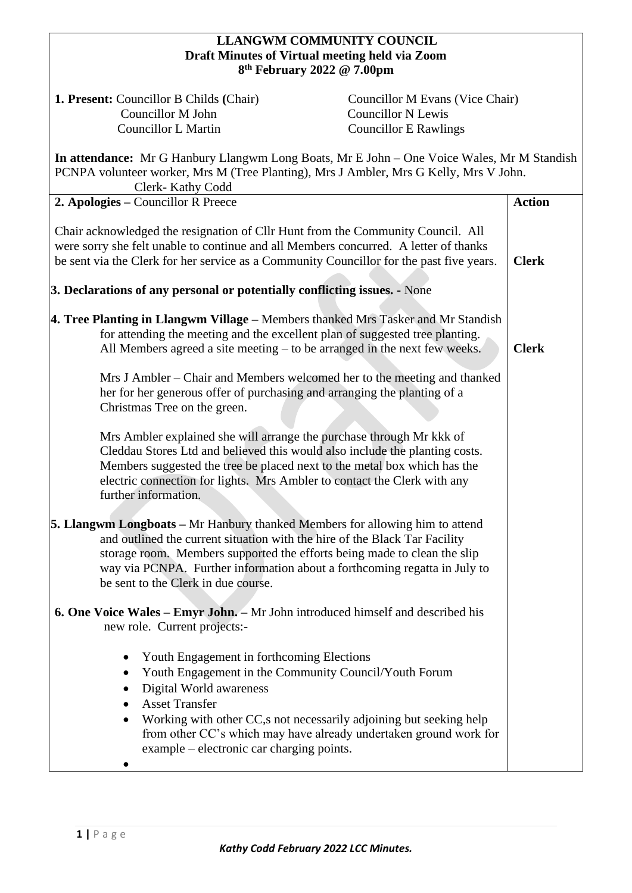## **LLANGWM COMMUNITY COUNCIL Draft Minutes of Virtual meeting held via Zoom 8 th February 2022 @ 7.00pm**

**1. Present:** Councillor B Childs **(Chair) Councillor M Evans (Vice Chair) Councillor M John Councillor N Lewis** Councillor L Martin Councillor E Rawlings

**In attendance:** Mr G Hanbury Llangwm Long Boats, Mr E John – One Voice Wales, Mr M Standish PCNPA volunteer worker, Mrs M (Tree Planting), Mrs J Ambler, Mrs G Kelly, Mrs V John.  $C1$ <sub>ork</sub>- Kathy Codd

| Clerk- Kathy Codd                                                                                                                                                                                                                                                                                                                                                 |               |
|-------------------------------------------------------------------------------------------------------------------------------------------------------------------------------------------------------------------------------------------------------------------------------------------------------------------------------------------------------------------|---------------|
| 2. Apologies – Councillor R Preece                                                                                                                                                                                                                                                                                                                                | <b>Action</b> |
| Chair acknowledged the resignation of Cllr Hunt from the Community Council. All<br>were sorry she felt unable to continue and all Members concurred. A letter of thanks<br>be sent via the Clerk for her service as a Community Councillor for the past five years.<br>3. Declarations of any personal or potentially conflicting issues. - None                  | <b>Clerk</b>  |
|                                                                                                                                                                                                                                                                                                                                                                   |               |
| 4. Tree Planting in Llangwm Village - Members thanked Mrs Tasker and Mr Standish<br>for attending the meeting and the excellent plan of suggested tree planting.<br>All Members agreed a site meeting – to be arranged in the next few weeks.                                                                                                                     | <b>Clerk</b>  |
| Mrs J Ambler – Chair and Members welcomed her to the meeting and thanked<br>her for her generous offer of purchasing and arranging the planting of a<br>Christmas Tree on the green.                                                                                                                                                                              |               |
| Mrs Ambler explained she will arrange the purchase through Mr kkk of<br>Cleddau Stores Ltd and believed this would also include the planting costs.<br>Members suggested the tree be placed next to the metal box which has the<br>electric connection for lights. Mrs Ambler to contact the Clerk with any<br>further information.                               |               |
|                                                                                                                                                                                                                                                                                                                                                                   |               |
| <b>5. Llangwm Longboats</b> – Mr Hanbury thanked Members for allowing him to attend<br>and outlined the current situation with the hire of the Black Tar Facility<br>storage room. Members supported the efforts being made to clean the slip<br>way via PCNPA. Further information about a forthcoming regatta in July to<br>be sent to the Clerk in due course. |               |
| <b>6. One Voice Wales – Emyr John.</b> – Mr John introduced himself and described his<br>new role. Current projects:-                                                                                                                                                                                                                                             |               |
| Youth Engagement in forthcoming Elections<br>Youth Engagement in the Community Council/Youth Forum<br>Digital World awareness<br><b>Asset Transfer</b><br>Working with other CC,s not necessarily adjoining but seeking help<br>from other CC's which may have already undertaken ground work for<br>example – electronic car charging points.                    |               |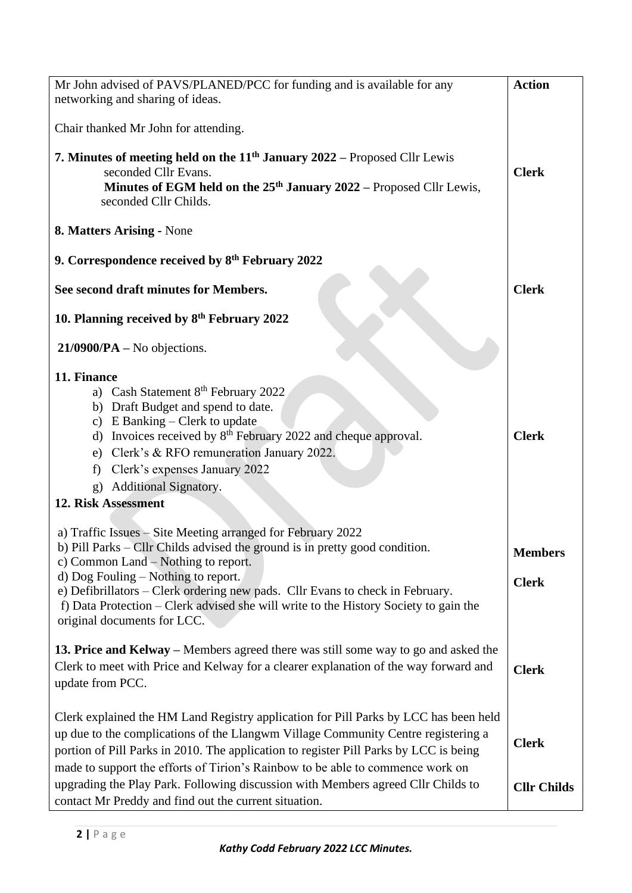| Mr John advised of PAVS/PLANED/PCC for funding and is available for any<br>networking and sharing of ideas.                                                                                                                                                                                                                                                                                                                          | <b>Action</b>                  |
|--------------------------------------------------------------------------------------------------------------------------------------------------------------------------------------------------------------------------------------------------------------------------------------------------------------------------------------------------------------------------------------------------------------------------------------|--------------------------------|
| Chair thanked Mr John for attending.                                                                                                                                                                                                                                                                                                                                                                                                 |                                |
| 7. Minutes of meeting held on the 11 <sup>th</sup> January 2022 – Proposed Cllr Lewis<br>seconded Cllr Evans.<br>Minutes of EGM held on the 25 <sup>th</sup> January 2022 – Proposed Cllr Lewis,<br>seconded Cllr Childs.                                                                                                                                                                                                            | <b>Clerk</b>                   |
| 8. Matters Arising - None                                                                                                                                                                                                                                                                                                                                                                                                            |                                |
| 9. Correspondence received by 8 <sup>th</sup> February 2022                                                                                                                                                                                                                                                                                                                                                                          |                                |
| See second draft minutes for Members.                                                                                                                                                                                                                                                                                                                                                                                                | <b>Clerk</b>                   |
| 10. Planning received by 8th February 2022                                                                                                                                                                                                                                                                                                                                                                                           |                                |
| $21/0900/PA - No$ objections.                                                                                                                                                                                                                                                                                                                                                                                                        |                                |
| 11. Finance<br>a) Cash Statement 8 <sup>th</sup> February 2022<br>b) Draft Budget and spend to date.<br>c) E Banking – Clerk to update<br>d) Invoices received by $8th$ February 2022 and cheque approval.<br>e) Clerk's & RFO remuneration January 2022.<br>f) Clerk's expenses January 2022<br>g) Additional Signatory.<br>12. Risk Assessment                                                                                     | <b>Clerk</b>                   |
| a) Traffic Issues - Site Meeting arranged for February 2022<br>b) Pill Parks – Cllr Childs advised the ground is in pretty good condition.<br>c) Common Land $-$ Nothing to report.<br>$d)$ Dog Fouling – Nothing to report.<br>e) Defibrillators – Clerk ordering new pads. Cllr Evans to check in February.<br>f) Data Protection – Clerk advised she will write to the History Society to gain the<br>original documents for LCC. | <b>Members</b><br><b>Clerk</b> |
| 13. Price and Kelway – Members agreed there was still some way to go and asked the<br>Clerk to meet with Price and Kelway for a clearer explanation of the way forward and<br>update from PCC.                                                                                                                                                                                                                                       | <b>Clerk</b>                   |
| Clerk explained the HM Land Registry application for Pill Parks by LCC has been held<br>up due to the complications of the Llangwm Village Community Centre registering a<br>portion of Pill Parks in 2010. The application to register Pill Parks by LCC is being<br>made to support the efforts of Tirion's Rainbow to be able to commence work on                                                                                 | <b>Clerk</b>                   |
| upgrading the Play Park. Following discussion with Members agreed Cllr Childs to<br>contact Mr Preddy and find out the current situation.                                                                                                                                                                                                                                                                                            | <b>Cllr Childs</b>             |